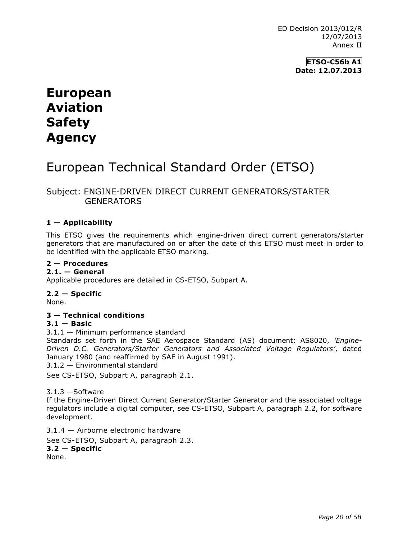**ETSO-C56b A1 Date: 12.07.2013**

# **European Aviation Safety Agency**

## European Technical Standard Order (ETSO)

## Subject: ENGINE-DRIVEN DIRECT CURRENT GENERATORS/STARTER **GENERATORS**

### **1 — Applicability**

This ETSO gives the requirements which engine-driven direct current generators/starter generators that are manufactured on or after the date of this ETSO must meet in order to be identified with the applicable ETSO marking.

#### **2 — Procedures**

#### **2.1. — General**

Applicable procedures are detailed in CS-ETSO, Subpart A.

#### **2.2 — Specific**

None.

#### **3 — Technical conditions**

#### **3.1 — Basic**

3.1.1 — Minimum performance standard

Standards set forth in the SAE Aerospace Standard (AS) document: AS8020, *'Engine-Driven D.C. Generators/Starter Generators and Associated Voltage Regulators'*, dated January 1980 (and reaffirmed by SAE in August 1991).

3.1.2 — Environmental standard

See CS-ETSO, Subpart A, paragraph 2.1.

3.1.3 —Software

If the Engine-Driven Direct Current Generator/Starter Generator and the associated voltage regulators include a digital computer, see CS-ETSO, Subpart A, paragraph 2.2, for software development.

3.1.4 — Airborne electronic hardware See CS-ETSO, Subpart A, paragraph 2.3. **3.2 — Specific** None.